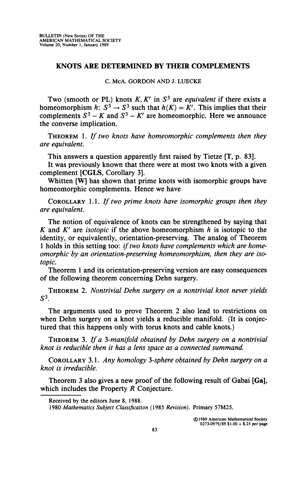## **KNOTS ARE DETERMINED BY THEIR COMPLEMENTS**

**C. McA. GORDON AND J. LUECKE** 

**Two (smooth or PL) knots** *K, K'* **in** *S<sup>3</sup>*  **are** *equivalent* **if there exists a**  homeomorphism  $h: S^3 \to S^3$  such that  $h(K) = K'$ . This implies that their complements  $S^3 - K$  and  $S^3 - K'$  are homeomorphic. Here we announce **the converse implication.** 

THEOREM 1. *If two knots have homeomorphic complements then they are equivalent.* 

**This answers a question apparently first raised by Tietze [T, p. 83].** 

**It was previously known that there were at most two knots with a given complement [CGLS, Corollary 3].** 

**Whitten [W] has shown that prime knots with isomorphic groups have homeomorphic complements. Hence we have** 

COROLLARY 1.1. *If two prime knots have isomorphic groups then they are equivalent.* 

**The notion of equivalence of knots can be strengthened by saying that**  *K* **and** *K'* **are** *isotopic* **if the above homeomorphism** *h* **is isotopic to the identity, or equivalently, orientation-preserving. The analog of Theorem**  1 holds in this setting too: *if two knots have complements which are homeomorphic by an orientation-preserving homeomorphism, then they are isotopic.* 

**Theorem 1 and its orientation-preserving version are easy consequences of the following theorem concerning Dehn surgery.** 

THEOREM 2. *Nontrivial Dehn surgery on a nontrivial knot never yields S 3 .* 

**The arguments used to prove Theorem 2 also lead to restrictions on when Dehn surgery on a knot yields a reducible manifold. (It is conjectured that this happens only with torus knots and cable knots.)** 

THEOREM *3. If a 3-manifold obtained by Dehn surgery on a nontrivial knot is reducible then it has a lens space as a connected summand.* 

COROLLARY 3.1. *Any homology 3-sphere obtained by Dehn surgery on a knot is irreducible.* 

**Theorem 3 also gives a new proof of the following result of Gabai [Ga], which includes the Property** *R* **Conjecture.** 

**Received by the editors June 8, 1988.** 

**<sup>1980</sup>** *Mathematics Subject Classification* **(1985** *Revision).* **Primary 57M25.**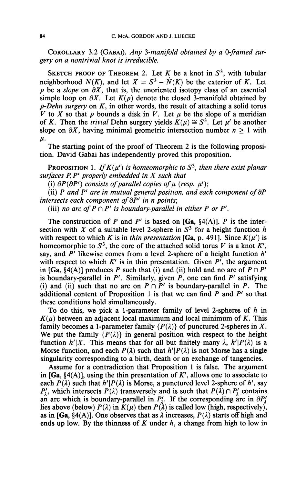COROLLARY 3.2 (GABAI). *Any 3-manifold obtained by a 0-framed surgery on a nontrivial knot is irreducible.* 

SKETCH PROOF OF THEOREM 2. Let K be a knot in  $S^3$ , with tubular neighborhood  $N(K)$ , and let  $X = S^3 - N(K)$  be the exterior of K. Let  $\rho$  be a *slope* on  $\partial X$ , that is, the unoriented isotopy class of an essential simple loop on  $\partial X$ . Let  $K(\rho)$  denote the closed 3-manifold obtained by *p-Dehn surgery* on *K,* in other words, the result of attaching a solid torus *V* to X so that  $\rho$  bounds a disk in V. Let  $\mu$  be the slope of a meridian of *K*. Then the *trivial* Dehn surgery yields  $K(\mu) \cong S^3$ . Let  $\mu'$  be another slope on  $\partial X$ , having minimal geometric intersection number  $n > 1$  with  $\mu$ .

The starting point of the proof of Theorem 2 is the following proposition. David Gabai has independently proved this proposition.

PROPOSITION 1. If  $K(\mu')$  is homeomorphic to  $S^3$ , then there exist planar *surfaces P, P' properly embedded in X such that* 

(i)  $\partial P(\partial P')$  consists of parallel copies of  $\mu$  (resp.  $\mu'$ );

(ii) P and P' are in mutual general position, and each component of  $\partial P$ *intersects each component of*  $\partial P'$  *in n points;* 

(iii) *no arc of*  $P \cap P'$  *is boundary-parallel in either*  $P$  *or*  $P'$ *.* 

The construction of *P* and *P'* is based on [Ga,  $\S4(A)$ ]. *P* is the intersection with X of a suitable level 2-sphere in  $S<sup>3</sup>$  for a height function h with respect to which *K* is in *thin presentation* [Ga, p. 491]. Since  $K(\mu')$  is homeomorphic to  $S^3$ , the core of the attached solid torus V is a knot  $K'$ , say, and *P'* likewise comes from a level 2-sphere of a height function *h'*  with respect to which *K'* is in thin presentation. Given *P',* the argument in [Ga,  $\S4(A)$ ] produces *P* such that (i) and (ii) hold and no arc of  $P \cap P'$ is boundary-parallel in *P'.* Similarly, given *P,* one can find *P'* satisfying (i) and (ii) such that no arc on  $P \cap P'$  is boundary-parallel in P. The additional content of Proposition 1 is that we can find *P* and *P'* so that these conditions hold simultaneously.

To do this, we pick a 1-parameter family of level 2-spheres of *h* in  $K(\mu)$  between an adjacent local maximum and local minimum of K. This family becomes a 1-parameter family  $\{P(\lambda)\}\$  of punctured 2-spheres in X. We put the family  $\{P(\lambda)\}\$ in general position with respect to the height function  $h'|X$ . This means that for all but finitely many  $\lambda$ ,  $h'|P(\lambda)$  is a Morse function, and each  $P(\lambda)$  such that  $h'|\mathcal{P}(\lambda)$  is not Morse has a single singularity corresponding to a birth, death or an exchange of tangencies.

Assume for a contradiction that Proposition 1 is false. The argument in  $[Ga, §4(A)]$ , using the thin presentation of  $K'$ , allows one to associate to each  $P(\lambda)$  such that  $h'|P(\lambda)$  is Morse, a punctured level 2-sphere of  $h'$ , say  $P'_{\lambda}$ , which intersects  $P(\lambda)$  transversely and is such that  $P(\lambda) \cap P'_{\lambda}$  contains an arc which is boundary-parallel in  $P'_1$ . If the corresponding arc in  $\partial P'_1$ lies above (below)  $P(\lambda)$  in  $K(\mu)$  then  $P(\lambda)$  is called low (high, respectively), as in [Ga,  $\S4(A)$ ]. One observes that as  $\lambda$  increases,  $P(\lambda)$  starts off high and ends up low. By the thinness of *K* under *h,* a change from high to low in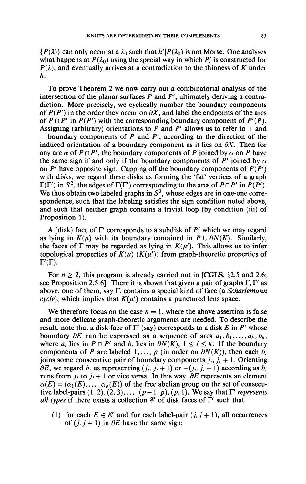$\{P(\lambda)\}\$ can only occur at a  $\lambda_0$  such that  $h'|P(\lambda_0)$  is not Morse. One analyses what happens at  $P(\lambda_0)$  using the special way in which  $P'_\lambda$  is constructed for  $P(\lambda)$ , and eventually arrives at a contradiction to the thinness of K under *h.* 

To prove Theorem 2 we now carry out a combinatorial analysis of the intersection of the planar surfaces *P* and *P',* ultimately deriving a contradiction. More precisely, we cyclically number the boundary components of  $P(P')$  in the order they occur on  $\partial X$ , and label the endpoints of the arcs of  $P \cap P'$  in  $P(P')$  with the corresponding boundary component of  $P'(P)$ . Assigning (arbitrary) orientations to  $P$  and  $P'$  allows us to refer to  $+$  and  $-$  boundary components of  $P$  and  $P'$ , according to the direction of the induced orientation of a boundary component as it lies on  $\partial X$ . Then for any arc  $\alpha$  of  $P \cap P'$ , the boundary components of P joined by  $\alpha$  on P have the same sign if and only if the boundary components of  $P'$  joined by  $\alpha$ on  $P'$  have opposite sign. Capping off the boundary components of  $P(P')$ with disks, we regard these disks as forming the 'fat' vertices of a graph  $\Gamma(\Gamma')$  in  $S^2$ , the edges of  $\Gamma(\Gamma')$  corresponding to the arcs of  $P \cap P'$  in  $P(P')$ . We thus obtain two labeled graphs in  $S^2$ , whose edges are in one-one correspondence, such that the labeling satisfies the sign condition noted above, and such that neither graph contains a trivial loop (by condition (iii) of Proposition 1).

A (disk) face of  $\Gamma'$  corresponds to a subdisk of  $P'$  which we may regard as lying in  $K(\mu)$  with its boundary contained in  $P \cup \partial N(K)$ . Similarly, the faces of  $\Gamma$  may be regarded as lying in  $K(\mu')$ . This allows us to infer topological properties of  $K(\mu)$  ( $K(\mu')$ ) from graph-theoretic properties of  $\Gamma'(\Gamma)$ .

For  $n \geq 2$ , this program is already carried out in [CGLS, §2.5 and 2.6; see Proposition 2.5.6]. There it is shown that given a pair of graphs  $\Gamma$ ,  $\Gamma'$  as above, one of them, say T, contains a special kind of face (a *Scharlemann cycle*), which implies that  $K(\mu')$  contains a punctured lens space.

We therefore focus on the case  $n = 1$ , where the above assertion is false and more delicate graph-theoretic arguments are needed. To describe the result, note that a disk face of  $\Gamma'$  (say) corresponds to a disk E in  $P'$  whose boundary  $\partial E$  can be expressed as a sequence of arcs  $a_1, b_1, \ldots, a_k, b_k$ , where  $a_i$  lies in  $P \cap P'$  and  $b_i$  lies in  $\partial N(K)$ ,  $1 \le i \le k$ . If the boundary components of *P* are labeled  $1, \ldots, p$  (in order on  $\partial N(K)$ ), then each  $b_i$ joins some consecutive pair of boundary components  $j_i$ ,  $j_i + 1$ . Orienting  $\partial E$ , we regard  $b_i$  as representing  $(j_i, j_i + 1)$  or  $-(j_i, j_i + 1)$  according as  $b_i$ runs from  $j_i$  to  $j_i + 1$  or vice versa. In this way,  $\partial E$  represents an element  $\alpha(E) = (\alpha_1(E), \dots, \alpha_p(E))$  of the free abelian group on the set of consecutive label-pairs  $(1,2)$ ,  $(2,3)$ ,...,  $(p-1, p)$ ,  $(p, 1)$ . We say that  $\Gamma'$  *represents all types* if there exists a collection  $\mathscr E$  of disk faces of  $\Gamma'$  such that

(1) for each  $E \in \mathcal{E}$  and for each label-pair  $(j, j + 1)$ , all occurrences of  $(j, j + 1)$  in  $\partial E$  have the same sign;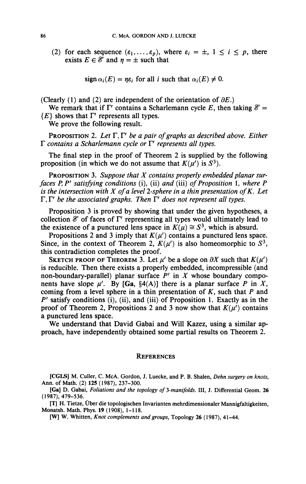(2) for each sequence  $(\varepsilon_1,\ldots,\varepsilon_p)$ , where  $\varepsilon_i = \pm$ ,  $1 \le i \le p$ , there exists  $E \in \mathcal{E}$  and  $\eta = \pm$  such that

 $sign \alpha_i(E) = \eta \varepsilon_i$  for all i such that  $\alpha_i(E) \neq 0$ .

(Clearly  $(1)$  and  $(2)$  are independent of the orientation of  $\partial E$ .)

We remark that if  $\Gamma'$  contains a Scharlemann cycle E, then taking  $\mathscr{E} =$  ${E}$  shows that  $\Gamma'$  represents all types.

We prove the following result.

PROPOSITION 2. Let  $\Gamma$ ,  $\Gamma'$  be a pair of graphs as described above. Either T *contains a Scharlemann cycle or* P *represents all types.* 

The final step in the proof of Theorem 2 is supplied by the following proposition (in which we do not assume that  $K(\mu')$  is  $S^3$ ).

PROPOSITION 3. *Suppose that X contains properly embedded planar surfaces P,P' satisfying conditions* (i), (ii) *and* (iii) *of Proposition* 1, *where P is the intersection with X of a level 2-sphere in a thin presentation ofK. Let*   $\Gamma$ ,  $\Gamma'$  be the associated graphs. Then  $\Gamma'$  does not represent all types.

Proposition 3 is proved by showing that under the given hypotheses, a collection  $\mathscr E$  of faces of  $\Gamma'$  representing all types would ultimately lead to the existence of a punctured lens space in  $K(\mu) \cong S^3$ , which is absurd.

Propositions 2 and 3 imply that  $K(\mu')$  contains a punctured lens space. Since, in the context of Theorem 2,  $K(\mu')$  is also homeomorphic to  $S^3$ , this contradiction completes the proof.

SKETCH PROOF OF THEOREM 3. Let  $\mu'$  be a slope on  $\partial X$  such that  $K(\mu')$ is reducible. Then there exists a properly embedded, incompressible (and non-boundary-parallel) planar surface *P'* in *X* whose boundary components have slope  $\mu'$ . By [Ga, §4(A)] there is a planar surface P in X, coming from a level sphere in a thin presentation of *K,* such that *P* and *P'* satisfy conditions (i), (ii), and (iii) of Proposition 1. Exactly as in the proof of Theorem 2, Propositions 2 and 3 now show that  $K(\mu')$  contains a punctured lens space.

We understand that David Gabai and Will Kazez, using a similar approach, have independently obtained some partial results on Theorem 2.

## **REFERENCES**

**[CGLS]** M. Culler, C. McA. Gordon, J. Luecke, and P. B. Shalen, *Dehn surgery on knots,*  **Ann.** of Math. (2) **125** (1987), 237-300.

**[Ga]** D. Gabai, *Foliations and the topology of ^-manifolds.* **Ill,** J. Differential Geom. 26 (1987), 479-536.

[T] H. Tietze, Über die topologischen Invarianten mehrdimensionaler Mannigfaltigkeiten, **Monatsh. Math.** Phys. 19 (1908), 1-118.

**[W]** W. Whitten, *Knot complements and groups,* Topology 26 (1987), 41-44.